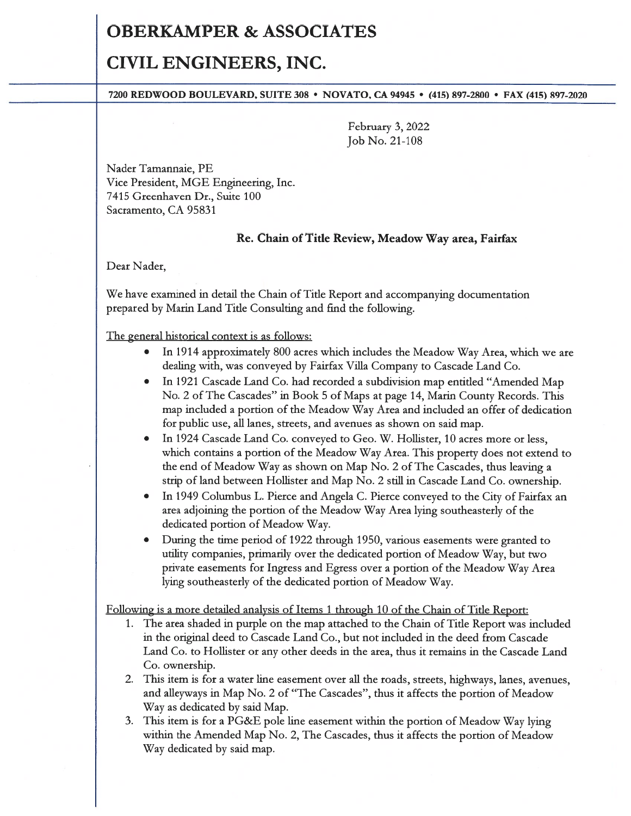## OBERKAMPER & ASSOCIATES

# CIVIL ENGINEERS, INC.

### 7200 REDWOOD BOULEVARD, SUITE 308 • NOVATO, CA 94945 • (415) 897-2800 • FAX (415) 897-2020

February 3, 2022 Job No. 21-108

Nader Tamannaie, PE Vice President, MGE Engineering, Inc. 7415 Greenhaven Dr., Suite 100 Sacramento, CA 95831

### Re. Chain of Title Review, Meadow Way area, Fairfax

Dear Nader,

We have examined in detail the Chain of Title Report and accompanying documentation prepared by Marin Land Title Consulting and find the following.

The general historical context is as follows:

- In 1914 approximately 800 acres which includes the Meadow Way Area, which we are dealing with, was conveyed by Fairfax Villa Company to Cascade Land Co.
- In 1921 Cascade Land Co. had recorded <sup>a</sup> subdivision map entitled "Amended Map No. 2 of The Cascades" in Book 5 of Maps at page 14, Marin County Records. This map included <sup>a</sup> portion of the Meadow Way Area and included an offer of dedication for public use, all lanes, streets, and avenues as shown on said map.
- • In 1924 Cascade Land Co. conveyed to Geo. W. Hollister, 10 acres more or less, which contains <sup>a</sup> portion of the Meadow Way Area. This property does not extend to the end of Meadow Way as shown on Map No. 2 of The Cascades, thus leaving <sup>a</sup> strip of land between Hollister and Map No. 2 still in Cascade Land Co. ownership.
- In 1949 Columbus L. Pierce and Angela C. Pierce conveyed to the City of Fairfax an area adjoining the portion of the Meadow Way Area lying southeasterly of the dedicated portion of Meadow Way.
- • During the time period of 1922 through 1950, various easements were granted to utility companies, primarily over the dedicated portion of Meadow Way, but two private easements for Ingress and Egress over <sup>a</sup> portion of the Meadow Way Area lying southeasterly of the dedicated portion of Meadow Way.

Following is <sup>a</sup> more detailed analysis of Items 1 through 10 of the Chain of Title Report:

- 1. The area shaded in purple on the map attached to the Chain of Title Report was included in the original deed to Cascade Land Co., but not included in the deed from Cascade Land Co. to Hollister or any other deeds in the area, thus it remains in the Cascade Land Co. ownership.
- 2. This item is for <sup>a</sup> water line easement over all the roads, streets, highways, lanes, avenues, and alleyways in Map No. 2 of "The Cascades", thus it affects the portion of Meadow Way as dedicated by said Map.
- 3. This item is for <sup>a</sup> PG&E pole line easement within the portion of Meadow Way lying within the Amended Map No. 2, The Cascades, thus it affects the portion of Meadow Way dedicated by said map.